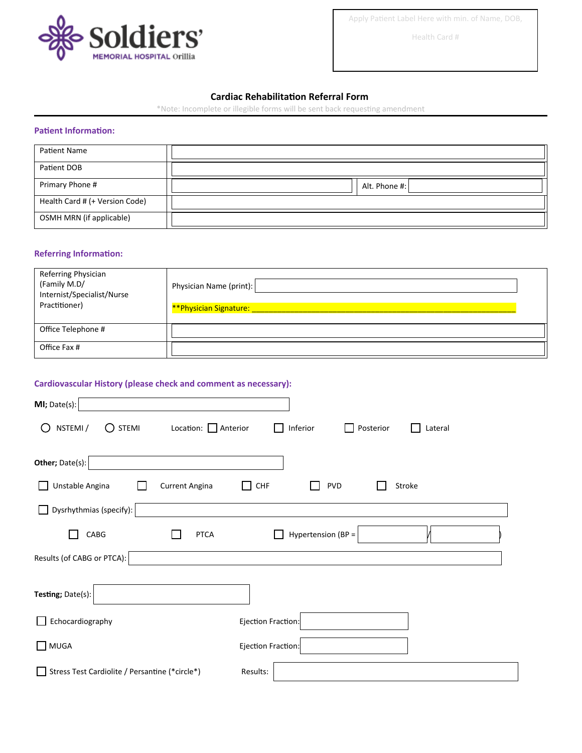

Apply Patient Label Here with min. of Name, DOB,

Health Card #

## **Cardiac Rehabilitation Referral Form**

\*Note: Incomplete or illegible forms will be sent back requesting amendment

## **Patient Information:**

| Patient Name                   |               |
|--------------------------------|---------------|
| Patient DOB                    |               |
| Primary Phone #                | Alt. Phone #: |
| Health Card # (+ Version Code) |               |
| OSMH MRN (if applicable)       |               |

## **Referring Information:**

| Referring Physician<br>(Family M.D/<br>Internist/Specialist/Nurse<br>Practitioner) | Physician Name (print):<br>**Physician Signature: |
|------------------------------------------------------------------------------------|---------------------------------------------------|
| Office Telephone #                                                                 |                                                   |
| Office Fax #                                                                       |                                                   |

## **Cardiovascular History (please check and comment as necessary):**

| MI; Date(s):                                                                                               |                                    |
|------------------------------------------------------------------------------------------------------------|------------------------------------|
| NSTEMI /<br>$\bigcirc$ stemi<br>Location: $\Box$ Anterior<br>$\left( \begin{array}{c} \end{array} \right)$ | Inferior<br>Posterior<br>Lateral   |
| Other; Date(s):                                                                                            |                                    |
| Unstable Angina<br><b>Current Angina</b>                                                                   | CHF<br><b>PVD</b><br>Stroke<br>l I |
| Dysrhythmias (specify):                                                                                    |                                    |
| CABG<br><b>PTCA</b>                                                                                        | Hypertension (BP =                 |
| Results (of CABG or PTCA):                                                                                 |                                    |
| Testing; Date(s):                                                                                          |                                    |
| Echocardiography                                                                                           | Ejection Fraction:                 |
| $\Box$ MUGA                                                                                                | Ejection Fraction:                 |
| Stress Test Cardiolite / Persantine (*circle*)                                                             | Results:                           |